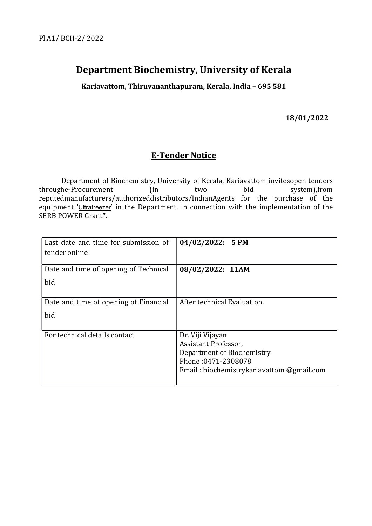# Department Biochemistry, University of Kerala

Kariavattom, Thiruvananthapuram, Kerala, India – 695 581

18/01/2022

## E-Tender Notice

 Department of Biochemistry, University of Kerala, Kariavattom invitesopen tenders throughe-Procurement (in two bid system),from reputedmanufacturers/authorizeddistributors/IndianAgents for the purchase of the equipment 'Ultrafreezer' in the Department, in connection with the implementation of the SERB POWER Grant".

| Last date and time for submission of<br>tender online | $04/02/2022$ : 5 PM                                |
|-------------------------------------------------------|----------------------------------------------------|
| Date and time of opening of Technical                 | 08/02/2022: 11AM                                   |
| bid                                                   |                                                    |
| Date and time of opening of Financial                 | After technical Evaluation.                        |
| bid                                                   |                                                    |
| For technical details contact                         | Dr. Viji Vijayan                                   |
|                                                       | Assistant Professor,<br>Department of Biochemistry |
|                                                       | Phone: 0471-2308078                                |
|                                                       | Email: biochemistrykariavattom @gmail.com          |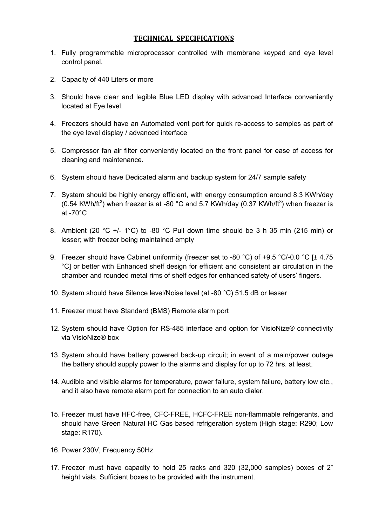#### TECHNICAL SPECIFICATIONS

- 1. Fully programmable microprocessor controlled with membrane keypad and eye level control panel.
- 2. Capacity of 440 Liters or more
- 3. Should have clear and legible Blue LED display with advanced Interface conveniently located at Eye level.
- 4. Freezers should have an Automated vent port for quick re-access to samples as part of the eye level display / advanced interface
- 5. Compressor fan air filter conveniently located on the front panel for ease of access for cleaning and maintenance.
- 6. System should have Dedicated alarm and backup system for 24/7 sample safety
- 7. System should be highly energy efficient, with energy consumption around 8.3 KWh/day (0.54 KWh/ft<sup>3</sup>) when freezer is at -80 °C and 5.7 KWh/day (0.37 KWh/ft<sup>3</sup>) when freezer is at  $-70^{\circ}$ C
- 8. Ambient (20 °C +/- 1°C) to -80 °C Pull down time should be 3 h 35 min (215 min) or lesser; with freezer being maintained empty
- 9. Freezer should have Cabinet uniformity (freezer set to -80 °C) of +9.5 °C/-0.0 °C [± 4.75 °C] or better with Enhanced shelf design for efficient and consistent air circulation in the chamber and rounded metal rims of shelf edges for enhanced safety of users' fingers.
- 10. System should have Silence level/Noise level (at -80 °C) 51.5 dB or lesser
- 11. Freezer must have Standard (BMS) Remote alarm port
- 12. System should have Option for RS-485 interface and option for VisioNize® connectivity via VisioNize® box
- 13. System should have battery powered back-up circuit; in event of a main/power outage the battery should supply power to the alarms and display for up to 72 hrs. at least.
- 14. Audible and visible alarms for temperature, power failure, system failure, battery low etc., and it also have remote alarm port for connection to an auto dialer.
- 15. Freezer must have HFC-free, CFC-FREE, HCFC-FREE non-flammable refrigerants, and should have Green Natural HC Gas based refrigeration system (High stage: R290; Low stage: R170).
- 16. Power 230V, Frequency 50Hz
- 17. Freezer must have capacity to hold 25 racks and 320 (32,000 samples) boxes of 2" height vials. Sufficient boxes to be provided with the instrument.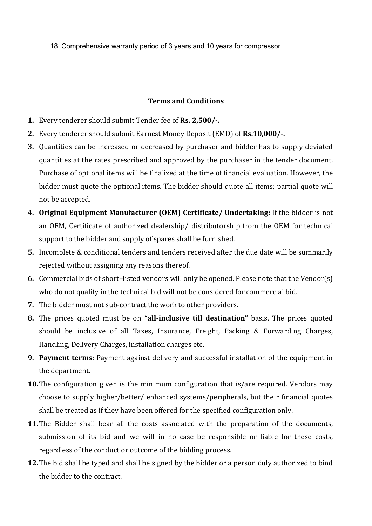18. Comprehensive warranty period of 3 years and 10 years for compressor

#### Terms and Conditions

- 1. Every tenderer should submit Tender fee of Rs. 2,500/-.
- 2. Every tenderer should submit Earnest Money Deposit (EMD) of Rs.10,000/-.
- 3. Quantities can be increased or decreased by purchaser and bidder has to supply deviated quantities at the rates prescribed and approved by the purchaser in the tender document. Purchase of optional items will be finalized at the time of financial evaluation. However, the bidder must quote the optional items. The bidder should quote all items; partial quote will not be accepted.
- 4. Original Equipment Manufacturer (OEM) Certificate/ Undertaking: If the bidder is not an OEM, Certificate of authorized dealership/ distributorship from the OEM for technical support to the bidder and supply of spares shall be furnished.
- 5. Incomplete & conditional tenders and tenders received after the due date will be summarily rejected without assigning any reasons thereof.
- 6. Commercial bids of short–listed vendors will only be opened. Please note that the Vendor(s) who do not qualify in the technical bid will not be considered for commercial bid.
- 7. The bidder must not sub-contract the work to other providers.
- 8. The prices quoted must be on "all-inclusive till destination" basis. The prices quoted should be inclusive of all Taxes, Insurance, Freight, Packing & Forwarding Charges, Handling, Delivery Charges, installation charges etc.
- 9. Payment terms: Payment against delivery and successful installation of the equipment in the department.
- 10. The configuration given is the minimum configuration that is/are required. Vendors may choose to supply higher/better/ enhanced systems/peripherals, but their financial quotes shall be treated as if they have been offered for the specified configuration only.
- 11. The Bidder shall bear all the costs associated with the preparation of the documents, submission of its bid and we will in no case be responsible or liable for these costs, regardless of the conduct or outcome of the bidding process.
- 12. The bid shall be typed and shall be signed by the bidder or a person duly authorized to bind the bidder to the contract.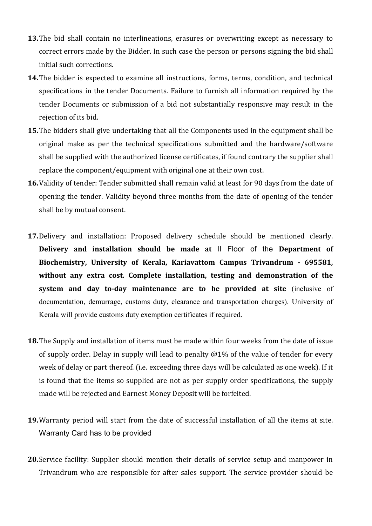- 13. The bid shall contain no interlineations, erasures or overwriting except as necessary to correct errors made by the Bidder. In such case the person or persons signing the bid shall initial such corrections.
- 14.The bidder is expected to examine all instructions, forms, terms, condition, and technical specifications in the tender Documents. Failure to furnish all information required by the tender Documents or submission of a bid not substantially responsive may result in the rejection of its bid.
- 15. The bidders shall give undertaking that all the Components used in the equipment shall be original make as per the technical specifications submitted and the hardware/software shall be supplied with the authorized license certificates, if found contrary the supplier shall replace the component/equipment with original one at their own cost.
- 16.Validity of tender: Tender submitted shall remain valid at least for 90 days from the date of opening the tender. Validity beyond three months from the date of opening of the tender shall be by mutual consent.
- 17.Delivery and installation: Proposed delivery schedule should be mentioned clearly. Delivery and installation should be made at II Floor of the Department of Biochemistry, University of Kerala, Kariavattom Campus Trivandrum - 695581, without any extra cost. Complete installation, testing and demonstration of the system and day to-day maintenance are to be provided at site (inclusive of documentation, demurrage, customs duty, clearance and transportation charges). University of Kerala will provide customs duty exemption certificates if required.
- 18. The Supply and installation of items must be made within four weeks from the date of issue of supply order. Delay in supply will lead to penalty @1% of the value of tender for every week of delay or part thereof. (i.e. exceeding three days will be calculated as one week). If it is found that the items so supplied are not as per supply order specifications, the supply made will be rejected and Earnest Money Deposit will be forfeited.
- 19.Warranty period will start from the date of successful installation of all the items at site. Warranty Card has to be provided
- 20.Service facility: Supplier should mention their details of service setup and manpower in Trivandrum who are responsible for after sales support. The service provider should be